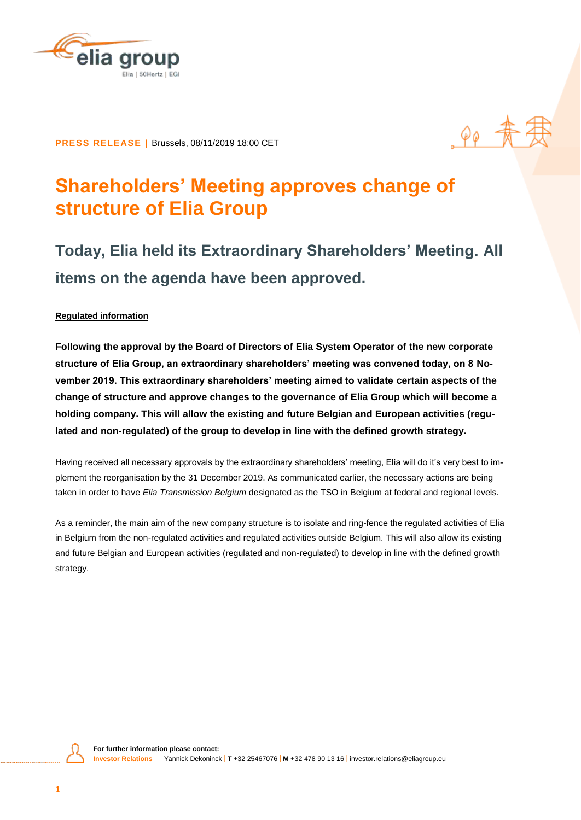

# $\rho_{\ell}$   $\frac{1}{\Lambda}$

**PRESS RELEASE |** Brussels, 08/11/2019 18:00 CET

## **Shareholders' Meeting approves change of structure of Elia Group**

## **Today, Elia held its Extraordinary Shareholders' Meeting. All items on the agenda have been approved.**

#### **Regulated information**

**Following the approval by the Board of Directors of Elia System Operator of the new corporate structure of Elia Group, an extraordinary shareholders' meeting was convened today, on 8 November 2019. This extraordinary shareholders' meeting aimed to validate certain aspects of the change of structure and approve changes to the governance of Elia Group which will become a holding company. This will allow the existing and future Belgian and European activities (regulated and non-regulated) of the group to develop in line with the defined growth strategy.**

Having received all necessary approvals by the extraordinary shareholders' meeting, Elia will do it's very best to implement the reorganisation by the 31 December 2019. As communicated earlier, the necessary actions are being taken in order to have *Elia Transmission Belgium* designated as the TSO in Belgium at federal and regional levels.

As a reminder, the main aim of the new company structure is to isolate and ring-fence the regulated activities of Elia in Belgium from the non-regulated activities and regulated activities outside Belgium. This will also allow its existing and future Belgian and European activities (regulated and non-regulated) to develop in line with the defined growth strategy.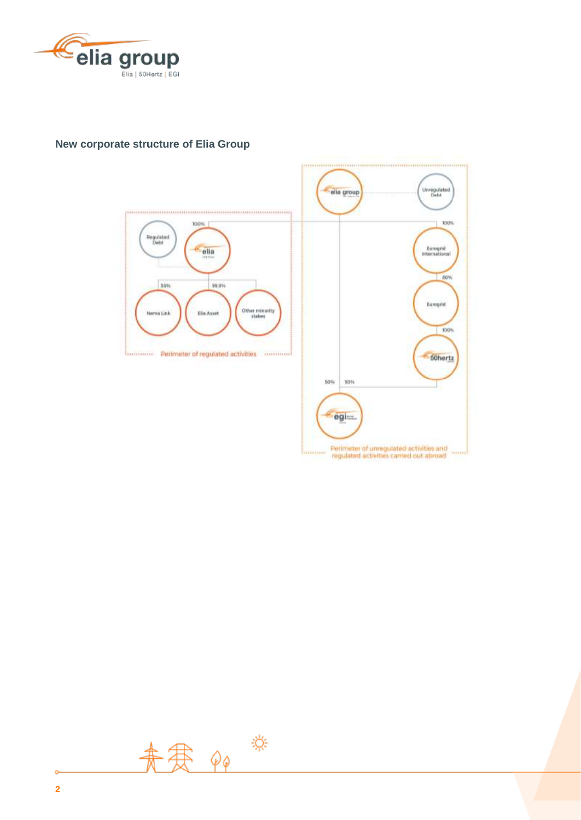

#### **New corporate structure of Elia Group**